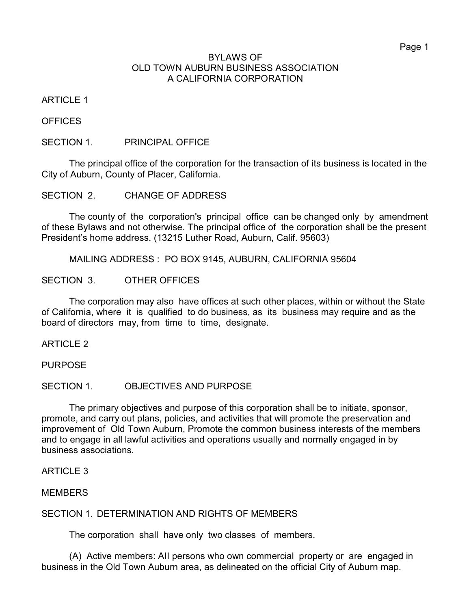#### BYLAWS OF OLD TOWN AUBURN BUSINESS ASSOCIATION A CALIFORNIA CORPORATION

ARTICLE 1

**OFFICES** 

SECTION 1. PRINCIPAL OFFICE

The principal office of the corporation for the transaction of its business is located in the City of Auburn, County of Placer, California.

SECTION 2. CHANGE OF ADDRESS

The county of the corporation's principal office can be changed only by amendment of these ByIaws and not otherwise. The principal office of the corporation shall be the present President's home address. (13215 Luther Road, Auburn, Calif. 95603)

MAILING ADDRESS : PO BOX 9145, AUBURN, CALIFORNIA 95604

SECTION 3. OTHER OFFICES

The corporation may also have offices at such other places, within or without the State of California, where it is qualified to do business, as its business may require and as the board of directors may, from time to time, designate.

ARTICLE 2

PURPOSE

SECTION 1. OBJECTIVES AND PURPOSE

The primary objectives and purpose of this corporation shall be to initiate, sponsor, promote, and carry out plans, policies, and activities that will promote the preservation and improvement of Old Town Auburn, Promote the common business interests of the members and to engage in all lawful activities and operations usually and normally engaged in by business associations.

ARTICLE 3

**MEMBERS** 

SECTION 1. DETERMINATION AND RIGHTS OF MEMBERS

The corporation shall have only two classes of members.

(A) Active members: AII persons who own commercial property or are engaged in business in the Old Town Auburn area, as delineated on the official City of Auburn map.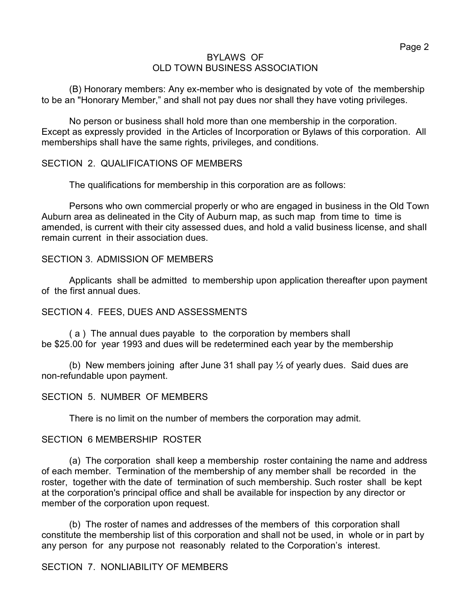## BYLAWS OF OLD TOWN BUSINESS ASSOCIATION

(B) Honorary members: Any ex-member who is designated by vote of the membership to be an "Honorary Member," and shall not pay dues nor shall they have voting privileges.

No person or business shalI hold more than one membership in the corporation. Except as expressly provided in the Articles of Incorporation or Bylaws of this corporation. All memberships shall have the same rights, privileges, and conditions.

## SECTION 2. QUALIFICATIONS OF MEMBERS

The qualifications for membership in this corporation are as follows:

Persons who own commercial properly or who are engaged in business in the Old Town Auburn area as delineated in the City of Auburn map, as such map from time to time is amended, is current with their city assessed dues, and hold a valid business license, and shalI remain current in their association dues.

## SECTION 3. ADMISSION OF MEMBERS

Applicants shall be admitted to membership upon application thereafter upon payment of the first annual dues.

## SECTION 4. FEES, DUES AND ASSESSMENTS

( a ) The annual dues payable to the corporation by members shalI be \$25.00 for year 1993 and dues will be redetermined each year by the membership

(b) New members joining after June 31 shall pay ½ of yearly dues. Said dues are non-refundable upon payment.

## SECTION 5. NUMBER OF MEMBERS

There is no limit on the number of members the corporation may admit.

## SECTION 6 MEMBERSHIP ROSTER

(a) The corporation shall keep a membership roster containing the name and address of each member. Termination of the membership of any member shall be recorded in the roster, together with the date of termination of such membership. Such roster shall be kept at the corporation's principal office and shall be available for inspection by any director or member of the corporation upon request.

(b) The roster of names and addresses of the members of this corporation shall constitute the membership list of this corporation and shall not be used, in whole or in part by any person for any purpose not reasonably related to the Corporation's interest.

## SECTION 7. NONLIABILITY OF MEMBERS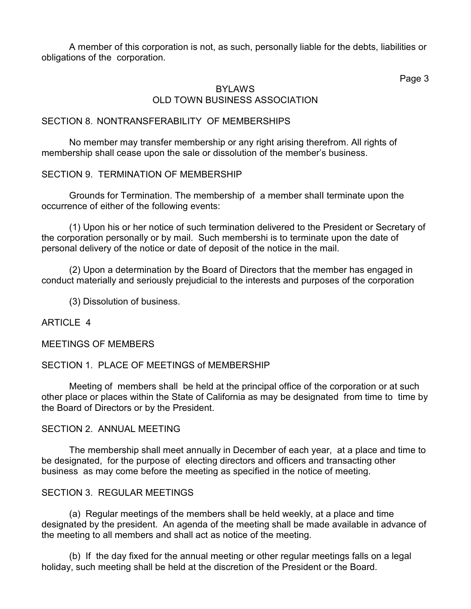A member of this corporation is not, as such, personally liable for the debts, liabilities or obligations of the corporation.

Page 3

## BYLAWS OLD TOWN BUSINESS ASSOCIATION

## SECTION 8. NONTRANSFERABILITY OF MEMBERSHIPS

No member may transfer membership or any right arising therefrom. All rights of membership shall cease upon the sale or dissolution of the member's business.

## SECTION 9. TERMINATION OF MEMBERSHIP

Grounds for Termination. The membership of a member shalI terminate upon the occurrence of either of the following events:

(1) Upon his or her notice of such termination delivered to the President or Secretary of the corporation personally or by mail. Such membershi is to terminate upon the date of personal delivery of the notice or date of deposit of the notice in the mail.

(2) Upon a determination by the Board of Directors that the member has engaged in conduct materially and seriously prejudicial to the interests and purposes of the corporation

(3) Dissolution of business.

## ARTICLE 4

MEETINGS OF MEMBERS

### SECTION 1. PLACE OF MEETINGS of MEMBERSHIP

Meeting of members shall be held at the principal office of the corporation or at such other place or places within the State of California as may be designated from time to time by the Board of Directors or by the President.

#### SECTION 2. ANNUAL MEETING

The membership shall meet annually in December of each year, at a place and time to be designated, for the purpose of electing directors and officers and transacting other business as may come before the meeting as specified in the notice of meeting.

#### SECTION 3. REGULAR MEETINGS

(a) Regular meetings of the members shall be held weekly, at a place and time designated by the president. An agenda of the meeting shall be made available in advance of the meeting to all members and shall act as notice of the meeting.

(b) If the day fixed for the annual meeting or other regular meetings falls on a legal holiday, such meeting shall be held at the discretion of the President or the Board.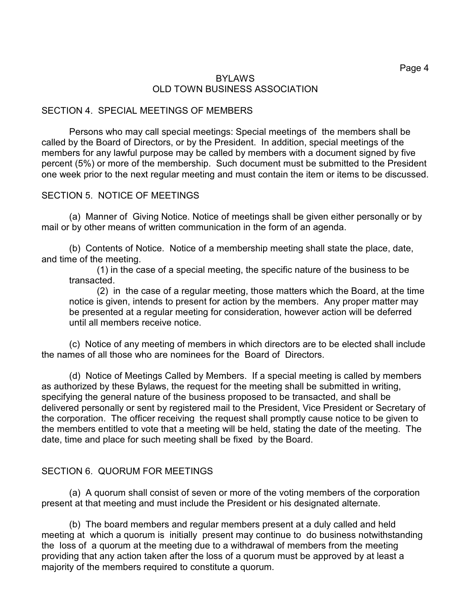### BYLAWS OLD TOWN BUSINESS ASSOCIATION

#### SECTION 4. SPECIAL MEETINGS OF MEMBERS

Persons who may call special meetings: Special meetings of the members shall be called by the Board of Directors, or by the President. In addition, special meetings of the members for any lawful purpose may be called by members with a document signed by five percent (5%) or more of the membership. Such document must be submitted to the President one week prior to the next regular meeting and must contain the item or items to be discussed.

#### SECTION 5. NOTICE OF MEETINGS

(a) Manner of Giving Notice. Notice of meetings shall be given either personally or by mail or by other means of written communication in the form of an agenda.

(b) Contents of Notice. Notice of a membership meeting shall state the place, date, and time of the meeting.

(1) in the case of a special meeting, the specific nature of the business to be transacted.

(2) in the case of a regular meeting, those matters which the Board, at the time notice is given, intends to present for action by the members. Any proper matter may be presented at a regular meeting for consideration, however action will be deferred until all members receive notice.

(c) Notice of any meeting of members in which directors are to be elected shall include the names of all those who are nominees for the Board of Directors.

(d) Notice of Meetings Called by Members. If a special meeting is called by members as authorized by these Bylaws, the request for the meeting shall be submitted in writing, specifying the general nature of the business proposed to be transacted, and shall be delivered personally or sent by registered mail to the President, Vice President or Secretary of the corporation. The officer receiving the request shall promptly cause notice to be given to the members entitled to vote that a meeting will be held, stating the date of the meeting. The date, time and place for such meeting shall be fixed by the Board.

#### SECTION 6. QUORUM FOR MEETINGS

(a) A quorum shall consist of seven or more of the voting members of the corporation present at that meeting and must include the President or his designated alternate.

(b) The board members and regular members present at a duly called and held meeting at which a quorum is initially present may continue to do business notwithstanding the loss of a quorum at the meeting due to a withdrawal of members from the meeting providing that any action taken after the loss of a quorum must be approved by at least a majority of the members required to constitute a quorum.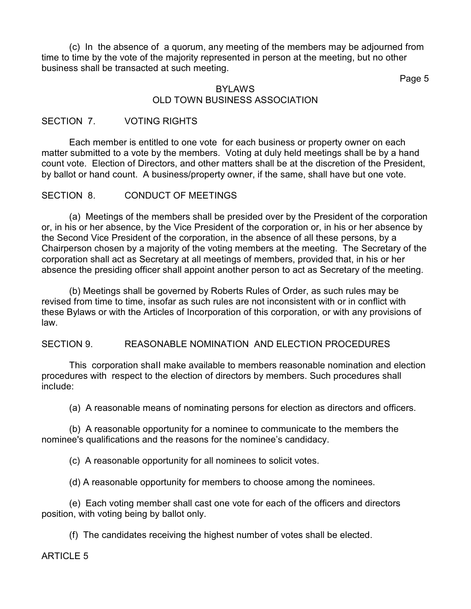(c) In the absence of a quorum, any meeting of the members may be adjourned from time to time by the vote of the majority represented in person at the meeting, but no other business shall be transacted at such meeting.

Page 5

#### BYLAWS OLD TOWN BUSINESS ASSOCIATION

### SECTION 7. VOTING RIGHTS

Each member is entitled to one vote for each business or property owner on each matter submitted to a vote by the members. Voting at duly held meetings shall be by a hand count vote. Election of Directors, and other matters shall be at the discretion of the President, by ballot or hand count. A business/property owner, if the same, shall have but one vote.

### SECTION 8. CONDUCT OF MEETINGS

(a) Meetings of the members shall be presided over by the President of the corporation or, in his or her absence, by the Vice President of the corporation or, in his or her absence by the Second Vice President of the corporation, in the absence of all these persons, by a Chairperson chosen by a majority of the voting members at the meeting. The Secretary of the corporation shall act as Secretary at all meetings of members, provided that, in his or her absence the presiding officer shall appoint another person to act as Secretary of the meeting.

(b) Meetings shall be governed by Roberts Rules of Order, as such rules may be revised from time to time, insofar as such rules are not inconsistent with or in conflict with these Bylaws or with the Articles of Incorporation of this corporation, or with any provisions of law.

## SECTION 9. REASONABLE NOMINATION AND ELECTION PROCEDURES

This corporation shaII make available to members reasonable nomination and election procedures with respect to the election of directors by members. Such procedures shall incIude:

(a) A reasonable means of nominating persons for election as directors and officers.

(b) A reasonable opportunity for a nominee to communicate to the members the nominee's qualifications and the reasons for the nominee's candidacy.

(c) A reasonable opportunity for all nominees to solicit votes.

(d) A reasonable opportunity for members to choose among the nominees.

(e) Each voting member shall cast one vote for each of the officers and directors position, with voting being by ballot only.

(f) The candidates receiving the highest number of votes shall be elected.

ARTICLE 5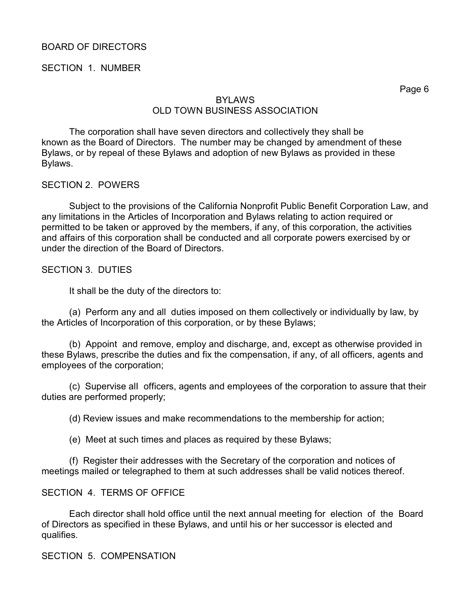## BOARD OF DIRECTORS

#### SECTION 1. NUMBER

Page 6

## BYLAWS OLD TOWN BUSINESS ASSOCIATION

The corporation shall have seven directors and colIectively they shall be known as the Board of Directors. The number may be changed by amendment of these Bylaws, or by repeal of these Bylaws and adoption of new Bylaws as provided in these Bylaws.

#### SECTION 2. POWERS

Subject to the provisions of the California Nonprofit Public Benefit Corporation Law, and any limitations in the Articles of Incorporation and Bylaws relating to action required or permitted to be taken or approved by the members, if any, of this corporation, the activities and affairs of this corporation shall be conducted and all corporate powers exercised by or under the direction of the Board of Directors.

#### SECTION 3. DUTIES

It shall be the duty of the directors to:

(a) Perform any and all duties imposed on them collectively or individually by law, by the Articles of Incorporation of this corporation, or by these Bylaws;

(b) Appoint and remove, employ and discharge, and, except as otherwise provided in these Bylaws, prescribe the duties and fix the compensation, if any, of all officers, agents and employees of the corporation;

(c) Supervise alI officers, agents and employees of the corporation to assure that their duties are performed properly;

(d) Review issues and make recommendations to the membership for action;

(e) Meet at such times and places as required by these Bylaws;

(f) Register their addresses with the Secretary of the corporation and notices of meetings mailed or telegraphed to them at such addresses shall be valid notices thereof.

#### SECTION 4. TERMS OF OFFICE

Each director shall hold office until the next annual meeting for election of the Board of Directors as specified in these Bylaws, and until his or her successor is elected and qualifies.

## SECTION 5. COMPENSATION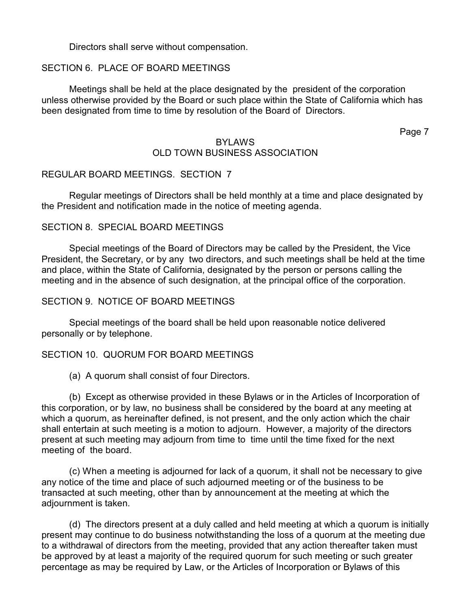Directors shalI serve without compensation.

## SECTION 6. PLACE OF BOARD MEETINGS

Meetings shall be held at the place designated by the president of the corporation unless otherwise provided by the Board or such place within the State of California which has been designated from time to time by resolution of the Board of Directors.

Page 7

#### BYLAWS OLD TOWN BUSINESS ASSOCIATION

## REGULAR BOARD MEETINGS. SECTION 7

Regular meetings of Directors shaIl be held monthly at a time and place designated by the President and notification made in the notice of meeting agenda.

### SECTION 8. SPECIAL BOARD MEETINGS

Special meetings of the Board of Directors may be called by the President, the Vice President, the Secretary, or by any two directors, and such meetings shall be held at the time and place, within the State of California, designated by the person or persons calling the meeting and in the absence of such designation, at the principal office of the corporation.

#### SECTION 9. NOTICE OF BOARD MEETINGS

Special meetings of the board shall be held upon reasonable notice delivered personally or by telephone.

#### SECTION 10. QUORUM FOR BOARD MEETINGS

(a) A quorum shall consist of four Directors.

(b) Except as otherwise provided in these Bylaws or in the Articles of Incorporation of this corporation, or by law, no business shall be considered by the board at any meeting at which a quorum, as hereinafter defined, is not present, and the only action which the chair shall entertain at such meeting is a motion to adjourn. However, a majority of the directors present at such meeting may adjourn from time to time until the time fixed for the next meeting of the board.

(c) When a meeting is adjourned for lack of a quorum, it shall not be necessary to give any notice of the time and place of such adjourned meeting or of the business to be transacted at such meeting, other than by announcement at the meeting at which the adjournment is taken.

(d) The directors present at a duly called and held meeting at which a quorum is initially present may continue to do business notwithstanding the loss of a quorum at the meeting due to a withdrawal of directors from the meeting, provided that any action thereafter taken must be approved by at least a majority of the required quorum for such meeting or such greater percentage as may be required by Law, or the Articles of Incorporation or Bylaws of this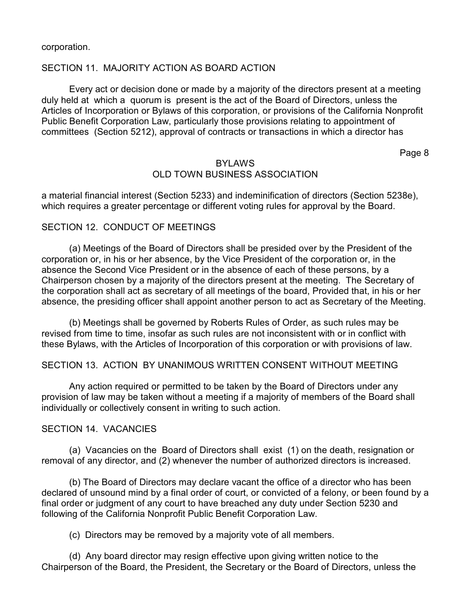corporation.

### SECTION 11. MAJORITY ACTION AS BOARD ACTION

Every act or decision done or made by a majority of the directors present at a meeting duly held at which a quorum is present is the act of the Board of Directors, unless the Articles of Incorporation or Bylaws of this corporation, or provisions of the California Nonprofit Public Benefit Corporation Law, particularly those provisions relating to appointment of committees (Section 5212), approval of contracts or transactions in which a director has

Page 8

## BYLAWS OLD TOWN BUSINESS ASSOCIATION

a material financial interest (Section 5233) and indeminification of directors (Section 5238e), which requires a greater percentage or different voting rules for approval by the Board.

### SECTION 12. CONDUCT OF MEETINGS

(a) Meetings of the Board of Directors shall be presided over by the President of the corporation or, in his or her absence, by the Vice President of the corporation or, in the absence the Second Vice President or in the absence of each of these persons, by a Chairperson chosen by a majority of the directors present at the meeting. The Secretary of the corporation shall act as secretary of all meetings of the board, Provided that, in his or her absence, the presiding officer shall appoint another person to act as Secretary of the Meeting.

(b) Meetings shall be governed by Roberts Rules of Order, as such rules may be revised from time to time, insofar as such rules are not inconsistent with or in conflict with these Bylaws, with the Articles of Incorporation of this corporation or with provisions of law.

## SECTION 13. ACTlON BY UNANIMOUS WRITTEN CONSENT WITHOUT MEETING

Any action required or permitted to be taken by the Board of Directors under any provision of law may be taken without a meeting if a majority of members of the Board shall individually or collectively consent in writing to such action.

#### SECTION 14. VACANCIES

(a) Vacancies on the Board of Directors shall exist (1) on the death, resignation or removal of any director, and (2) whenever the number of authorized directors is increased.

(b) The Board of Directors may declare vacant the office of a director who has been declared of unsound mind by a final order of court, or convicted of a felony, or been found by a final order or judgment of any court to have breached any duty under Section 5230 and following of the California Nonprofit Public Benefit Corporation Law.

(c) Directors may be removed by a majority vote of all members.

(d) Any board director may resign effective upon giving written notice to the Chairperson of the Board, the President, the Secretary or the Board of Directors, unless the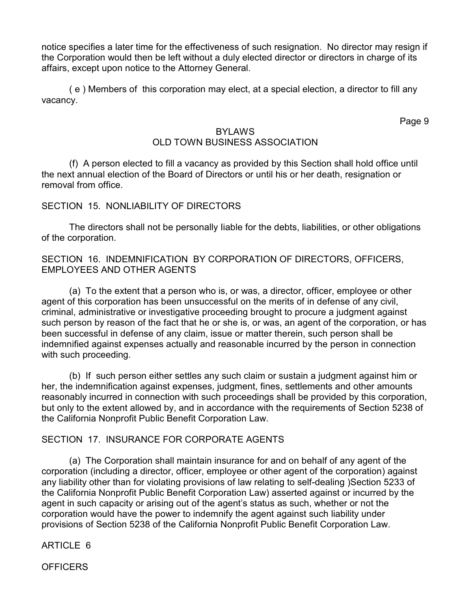notice specifies a later time for the effectiveness of such resignation. No director may resign if the Corporation would then be left without a duly elected director or directors in charge of its affairs, except upon notice to the Attorney General.

( e ) Members of this corporation may elect, at a special election, a director to fill any vacancy.

Page 9

## BYLAWS

# OLD TOWN BUSINESS ASSOCIATION

(f) A person elected to fill a vacancy as provided by this Section shall hold office until the next annual election of the Board of Directors or until his or her death, resignation or removal from office.

### SECTION 15. NONLIABILITY OF DIRECTORS

The directors shall not be personally Iiable for the debts, liabilities, or other obligations of the corporation.

## SECTION 16. INDEMNIFICATION BY CORPORATION OF DIRECTORS, OFFICERS, EMPLOYEES AND OTHER AGENTS

(a) To the extent that a person who is, or was, a director, officer, employee or other agent of this corporation has been unsuccessful on the merits of in defense of any civil, criminal, administrative or investigative proceeding brought to procure a judgment against such person by reason of the fact that he or she is, or was, an agent of the corporation, or has been successful in defense of any claim, issue or matter therein, such person shall be indemnified against expenses actually and reasonable incurred by the person in connection with such proceeding.

(b) If such person either settles any such claim or sustain a judgment against him or her, the indemnification against expenses, judgment, fines, settlements and other amounts reasonably incurred in connection with such proceedings shall be provided by this corporation, but only to the extent allowed by, and in accordance with the requirements of Section 5238 of the California Nonprofit Public Benefit Corporation Law.

## SECTION 17. INSURANCE FOR CORPORATE AGENTS

(a) The Corporation shall maintain insurance for and on behalf of any agent of the corporation (including a director, officer, employee or other agent of the corporation) against any liability other than for violating provisions of law relating to self-dealing )Section 5233 of the California Nonprofit Public Benefit Corporation Law) asserted against or incurred by the agent in such capacity or arising out of the agent's status as such, whether or not the corporation would have the power to indemnify the agent against such liability under provisions of Section 5238 of the California Nonprofit Public Benefit Corporation Law.

ARTICLE 6

**OFFICERS**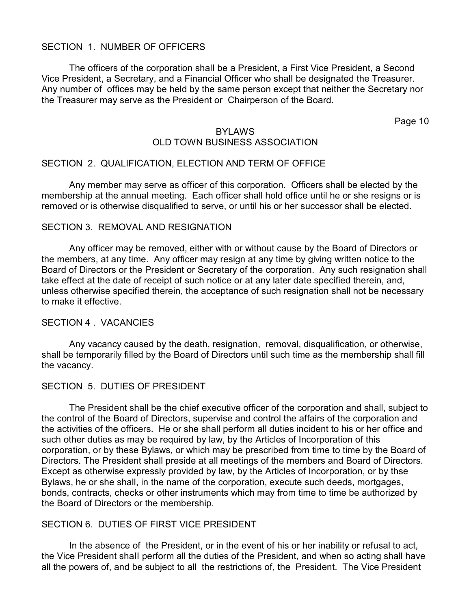### SECTION 1. NUMBER OF OFFICERS

The officers of the corporation shalI be a President, a First Vice President, a Second Vice President, a Secretary, and a Financial Officer who shalI be designated the Treasurer. Any number of offices may be held by the same person except that neither the Secretary nor the Treasurer may serve as the President or Chairperson of the Board.

Page 10

### BYLAWS OLD TOWN BUSINESS ASSOCIATION

### SECTION 2. QUALIFICATION, ELECTION AND TERM OF OFFICE

Any member may serve as officer of this corporation. Officers shall be elected by the membership at the annual meeting. Each officer shall hold office until he or she resigns or is removed or is otherwise disqualified to serve, or until his or her successor shall be elected.

#### SECTION 3. REMOVAL AND RESIGNATION

Any officer may be removed, either with or without cause by the Board of Directors or the members, at any time. Any officer may resign at any time by giving written notice to the Board of Directors or the President or Secretary of the corporation. Any such resignation shall take effect at the date of receipt of such notice or at any later date specified therein, and, unless otherwise specified therein, the acceptance of such resignation shall not be necessary to make it effective.

#### SECTION 4 . VACANCIES

Any vacancy caused by the death, resignation, removal, disqualification, or otherwise, shall be temporarily filled by the Board of Directors until such time as the membership shall fill the vacancy.

#### SECTION 5. DUTIES OF PRESIDENT

The President shall be the chief executive officer of the corporation and shall, subject to the control of the Board of Directors, supervise and control the affairs of the corporation and the activities of the officers. He or she shall perform all duties incident to his or her office and such other duties as may be required by law, by the Articles of Incorporation of this corporation, or by these Bylaws, or which may be prescribed from time to time by the Board of Directors. The President shall preside at all meetings of the members and Board of Directors. Except as otherwise expressly provided by law, by the Articles of Incorporation, or by thse Bylaws, he or she shall, in the name of the corporation, execute such deeds, mortgages, bonds, contracts, checks or other instruments which may from time to time be authorized by the Board of Directors or the membership.

#### SECTION 6. DUTIES OF FIRST VICE PRESIDENT

In the absence of the President, or in the event of his or her inability or refusal to act, the Vice President shaII perform all the duties of the President, and when so acting shall have all the powers of, and be subject to all the restrictions of, the President. The Vice President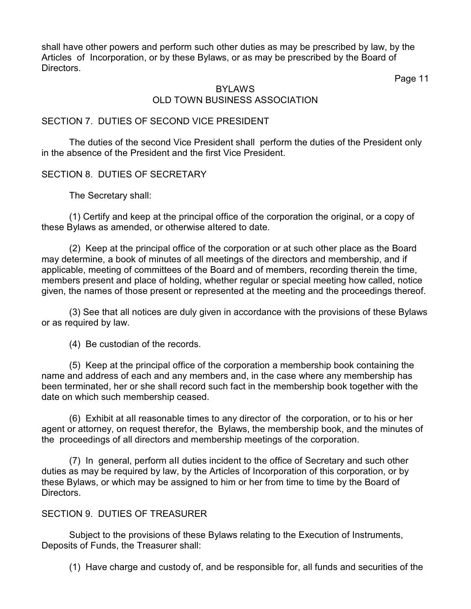shall have other powers and perform such other duties as may be prescribed by law, by the Articles of Incorporation, or by these Bylaws, or as may be prescribed by the Board of Directors.

Page 11

### BYLAWS OLD TOWN BUSINESS ASSOCIATION

## SECTION 7. DUTIES OF SECOND VICE PRESIDENT

The duties of the second Vice President shall perform the duties of the President only in the absence of the President and the first Vice President.

## SECTION 8. DUTIES OF SECRETARY

The Secretary shall:

(1) Certify and keep at the principal office of the corporation the original, or a copy of these Bylaws as amended, or otherwise aItered to date.

(2) Keep at the principal office of the corporation or at such other place as the Board may determine, a book of minutes of all meetings of the directors and membership, and if applicable, meeting of committees of the Board and of members, recording therein the time, members present and place of holding, whether regular or special meeting how called, notice given, the names of those present or represented at the meeting and the proceedings thereof.

(3) See that all notices are duly given in accordance with the provisions of these Bylaws or as required by law.

(4) Be custodian of the records.

(5) Keep at the principal office of the corporation a membership book containing the name and address of each and any members and, in the case where any membership has been terminated, her or she shall record such fact in the membership book together with the date on which such membership ceased.

(6) Exhibit at aIl reasonable times to any director of the corporation, or to his or her agent or attorney, on request therefor, the Bylaws, the membership book, and the minutes of the proceedings of all directors and membership meetings of the corporation.

(7) In general, perform aII duties incident to the office of Secretary and such other duties as may be required by law, by the Articles of Incorporation of this corporation, or by these Bylaws, or which may be assigned to him or her from time to time by the Board of Directors.

## SECTION 9. DUTIES OF TREASURER

Subject to the provisions of these Bylaws relating to the Execution of Instruments, Deposits of Funds, the Treasurer shall:

(1) Have charge and custody of, and be responsible for, all funds and securities of the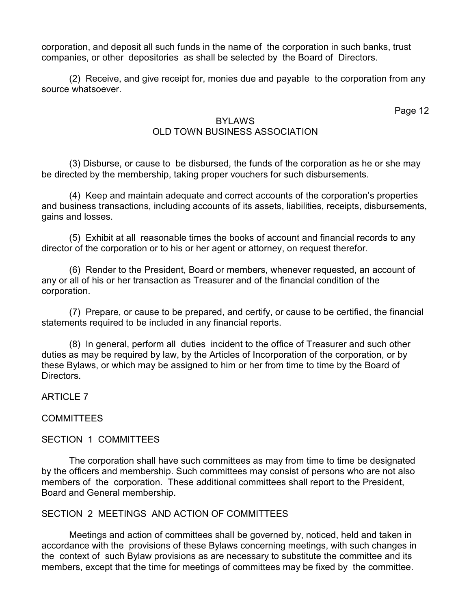corporation, and deposit all such funds in the name of the corporation in such banks, trust companies, or other depositories as shall be selected by the Board of Directors.

(2) Receive, and give receipt for, monies due and payabIe to the corporation from any source whatsoever.

Page 12

## BYLAWS OLD TOWN BUSINESS ASSOCIATION

(3) Disburse, or cause to be disbursed, the funds of the corporation as he or she may be directed by the membership, taking proper vouchers for such disbursements.

(4) Keep and maintain adequate and correct accounts of the corporation's properties and business transactions, including accounts of its assets, liabilities, receipts, disbursements, gains and losses.

(5) Exhibit at all reasonable times the books of account and financial records to any director of the corporation or to his or her agent or attorney, on request therefor.

(6) Render to the President, Board or members, whenever requested, an account of any or all of his or her transaction as Treasurer and of the financial condition of the corporation.

(7) Prepare, or cause to be prepared, and certify, or cause to be certified, the financial statements required to be included in any financial reports.

(8) In general, perform all duties incident to the office of Treasurer and such other duties as may be required by law, by the Articles of Incorporation of the corporation, or by these Bylaws, or which may be assigned to him or her from time to time by the Board of Directors.

ARTICLE 7

## **COMMITTEES**

## SECTION 1 COMMITTEES

The corporation shall have such committees as may from time to time be designated by the officers and membership. Such committees may consist of persons who are not also members of the corporation. These additional committees shall report to the President, Board and General membership.

## SECTION 2 MEETINGS AND ACTION OF COMMITTEES

Meetings and action of committees shalI be governed by, noticed, held and taken in accordance with the provisions of these Bylaws concerning meetings, with such changes in the context of such Bylaw provisions as are necessary to substitute the committee and its members, except that the time for meetings of committees may be fixed by the committee.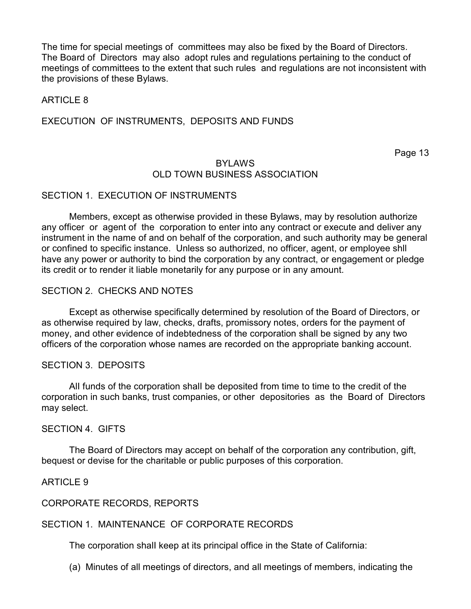The time for special meetings of committees may also be fixed by the Board of Directors. The Board of Directors may also adopt rules and regulations pertaining to the conduct of meetings of committees to the extent that such rules and regulations are not inconsistent with the provisions of these Bylaws.

#### ARTICLE 8

#### EXECUTION OF INSTRUMENTS, DEPOSITS AND FUNDS

Page 13

#### BYLAWS OLD TOWN BUSINESS ASSOCIATION

#### SECTION 1. EXECUTION OF INSTRUMENTS

Members, except as otherwise provided in these Bylaws, may by resolution authorize any officer or agent of the corporation to enter into any contract or execute and deliver any instrument in the name of and on behalf of the corporation, and such authority may be general or confined to specific instance. Unless so authorized, no officer, agent, or employee shll have any power or authority to bind the corporation by any contract, or engagement or pledge its credit or to render it liable monetarily for any purpose or in any amount.

#### SECTION 2. CHECKS AND NOTES

Except as otherwise specifically determined by resolution of the Board of Directors, or as otherwise required by law, checks, drafts, promissory notes, orders for the payment of money, and other evidence of indebtedness of the corporation shall be signed by any two officers of the corporation whose names are recorded on the appropriate banking account.

#### SECTION 3. DEPOSITS

AlI funds of the corporation shalI be deposited from time to time to the credit of the corporation in such banks, trust companies, or other depositories as the Board of Directors may select.

#### SECTION 4. GIFTS

The Board of Directors may accept on behalf of the corporation any contribution, gift, bequest or devise for the charitable or public purposes of this corporation.

#### ARTICLE 9

#### CORPORATE RECORDS, REPORTS

#### SECTION 1. MAINTENANCE OF CORPORATE RECORDS

The corporation shalI keep at its principal office in the State of California:

(a) Minutes of all meetings of directors, and all meetings of members, indicating the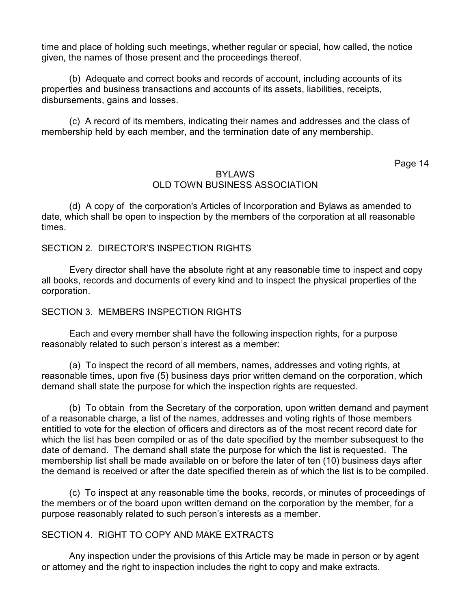time and place of holding such meetings, whether regular or special, how called, the notice given, the names of those present and the proceedings thereof.

(b) Adequate and correct books and records of account, including accounts of its properties and business transactions and accounts of its assets, liabilities, receipts, disbursements, gains and losses.

(c) A record of its members, indicating their names and addresses and the class of membership held by each member, and the termination date of any membership.

Page 14

### **BYLAWS** OLD TOWN BUSINESS ASSOCIATION

(d) A copy of the corporation's Articles of Incorporation and Bylaws as amended to date, which shall be open to inspection by the members of the corporation at all reasonable times.

## SECTION 2. DIRECTOR'S INSPECTION RIGHTS

Every director shall have the absolute right at any reasonable time to inspect and copy all books, records and documents of every kind and to inspect the physical properties of the corporation.

#### SECTION 3. MEMBERS INSPECTION RIGHTS

Each and every member shall have the following inspection rights, for a purpose reasonably related to such person's interest as a member:

(a) To inspect the record of all members, names, addresses and voting rights, at reasonable times, upon five (5) business days prior written demand on the corporation, which demand shall state the purpose for which the inspection rights are requested.

(b) To obtain from the Secretary of the corporation, upon written demand and payment of a reasonable charge, a list of the names, addresses and voting rights of those members entitled to vote for the election of officers and directors as of the most recent record date for which the list has been compiled or as of the date specified by the member subsequest to the date of demand. The demand shall state the purpose for which the list is requested. The membership list shall be made available on or before the later of ten (10) business days after the demand is received or after the date specified therein as of which the list is to be compiled.

(c) To inspect at any reasonable time the books, records, or minutes of proceedings of the members or of the board upon written demand on the corporation by the member, for a purpose reasonably related to such person's interests as a member.

#### SECTION 4. RIGHT TO COPY AND MAKE EXTRACTS

Any inspection under the provisions of this Article may be made in person or by agent or attorney and the right to inspection includes the right to copy and make extracts.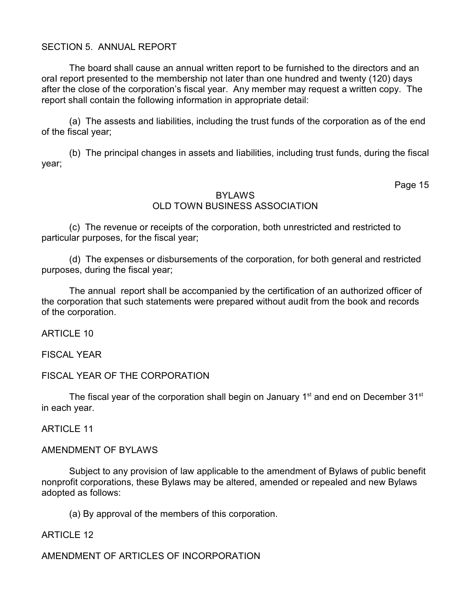## SECTION 5. ANNUAL REPORT

The board shall cause an annual written report to be furnished to the directors and an oraI report presented to the membership not later than one hundred and twenty (120) days after the close of the corporation's fiscal year. Any member may request a written copy. The report shall contain the following information in appropriate detail:

(a) The assests and liabilities, including the trust funds of the corporation as of the end of the fiscal year;

(b) The principal changes in assets and Iiabilities, including trust funds, during the fiscal year;

Page 15

### BYLAWS OLD TOWN BUSINESS ASSOCIATION

(c) The revenue or receipts of the corporation, both unrestricted and restricted to particular purposes, for the fiscal year;

(d) The expenses or disbursements of the corporation, for both general and restricted purposes, during the fiscal year;

The annual report shall be accompanied by the certification of an authorized officer of the corporation that such statements were prepared without audit from the book and records of the corporation.

ARTICLE 10

FISCAL YEAR

## FISCAL YEAR OF THE CORPORATION

The fiscal year of the corporation shall begin on January 1<sup>st</sup> and end on December 31<sup>st</sup> in each year.

**ARTICLE 11** 

## AMENDMENT OF BYLAWS

Subject to any provision of law applicable to the amendment of Bylaws of public benefit nonprofit corporations, these Bylaws may be altered, amended or repealed and new Bylaws adopted as follows:

(a) By approval of the members of this corporation.

#### ARTICLE 12

## AMENDMENT OF ARTICLES OF INCORPORATION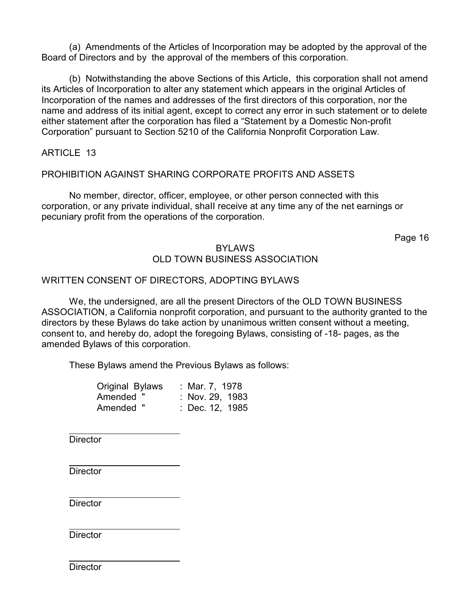(a) Amendments of the Articles of Incorporation may be adopted by the approval of the Board of Directors and by the approval of the members of this corporation.

(b) Notwithstanding the above Sections of this Article, this corporation shalI not amend its Articles of Incorporation to alter any statement which appears in the original Articles of Incorporation of the names and addresses of the first directors of this corporation, nor the name and address of its initial agent, except to correct any error in such statement or to delete either statement after the corporation has filed a "Statement by a Domestic Non-profit Corporation" pursuant to Section 5210 of the California Nonprofit Corporation Law.

ARTICLE 13

## PROHIBITION AGAINST SHARING CORPORATE PROFITS AND ASSETS

No member, director, officer, employee, or other person connected with this corporation, or any private individual, shaII receive at any time any of the net earnings or pecuniary profit from the operations of the corporation.

Page 16

## **BYLAWS** OLD TOWN BUSINESS ASSOCIATION

## WRITTEN CONSENT OF DIRECTORS, ADOPTING BYLAWS

We, the undersigned, are all the present Directors of the OLD TOWN BUSINESS ASSOCIATION, a California nonprofit corporation, and pursuant to the authority granted to the directors by these Bylaws do take action by unanimous written consent without a meeting, consent to, and hereby do, adopt the foregoing Bylaws, consisting of -18- pages, as the amended Bylaws of this corporation.

These Bylaws amend the Previous Bylaws as follows:

| Original Bylaws | : Mar. 7, 1978  |
|-----------------|-----------------|
| Amended "       | : Nov. 29, 1983 |
| Amended "       | : Dec. 12, 1985 |

**Director** 

**Director** 

**Director** 

**Director** 

**Director**